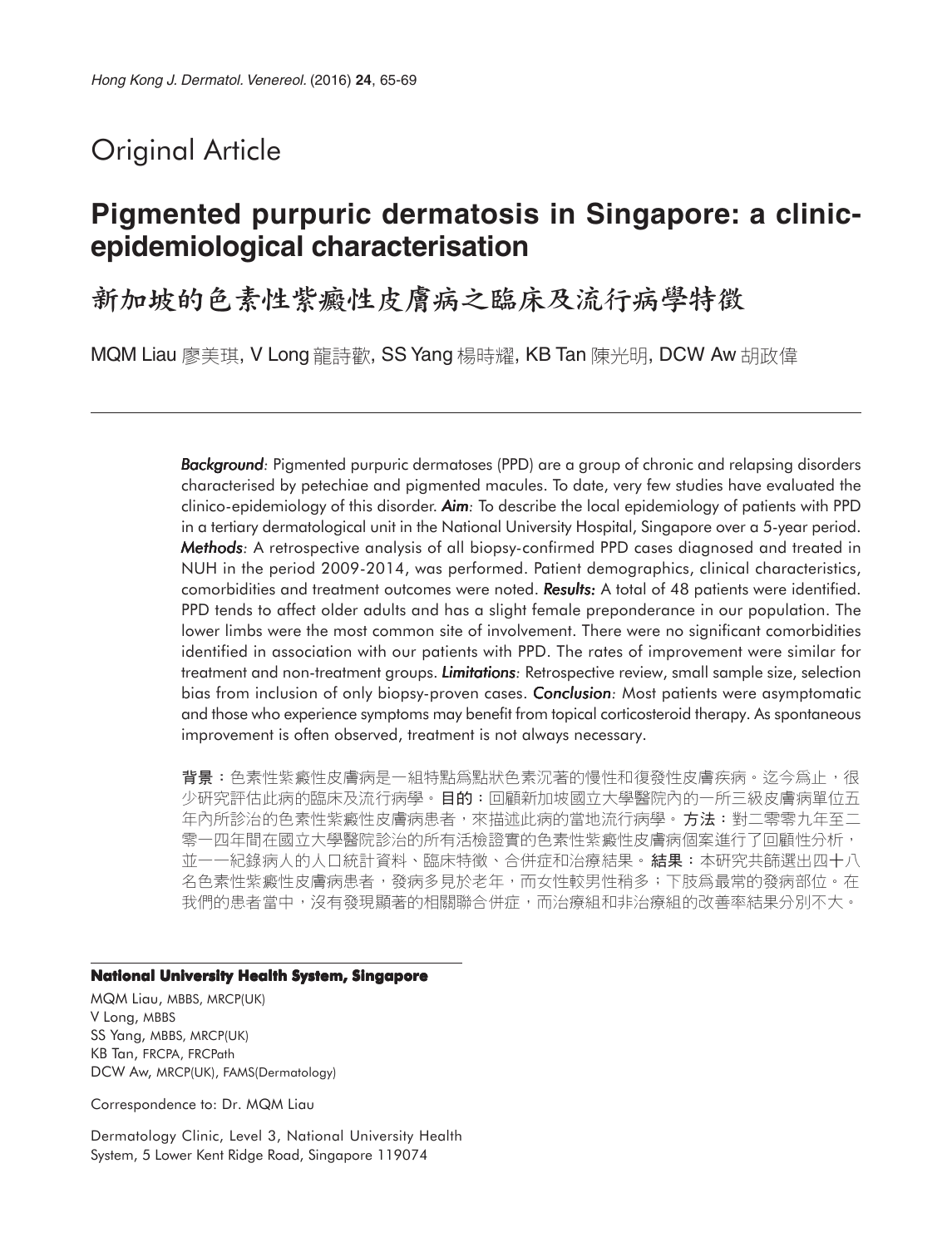# Original Article

## **Pigmented purpuric dermatosis in Singapore: a clinicepidemiological characterisation**

新加坡的色素性紫癜性皮膚病之臨床及流行病學特徵

MQM Liau 廖美琪, V Long 龍詩歡, SS Yang 楊時耀, KB Tan 陳光明, DCW Aw 胡政偉

*Background:* Pigmented purpuric dermatoses (PPD) are a group of chronic and relapsing disorders characterised by petechiae and pigmented macules. To date, very few studies have evaluated the clinico-epidemiology of this disorder. *Aim:* To describe the local epidemiology of patients with PPD in a tertiary dermatological unit in the National University Hospital, Singapore over a 5-year period. *Methods: Methods* A retrospective analysis of all biopsy-confirmed PPD cases diagnosed and treated in NUH in the period 2009-2014, was performed. Patient demographics, clinical characteristics, comorbidities and treatment outcomes were noted. **Results:** A total of 48 patients were identified. PPD tends to affect older adults and has a slight female preponderance in our population. The lower limbs were the most common site of involvement. There were no significant comorbidities identified in association with our patients with PPD. The rates of improvement were similar for treatment and non-treatment groups. *Limitations: Limitations* Retrospective review, small sample size, selection bias from inclusion of only biopsy-proven cases. **Conclusion**: Most patients were asymptomatic and those who experience symptoms may benefit from topical corticosteroid therapy. As spontaneous improvement is often observed, treatment is not always necessary.

背景:色素性紫癜性皮膚病是一組特點爲點狀色素沉著的慢性和復發性皮膚疾病。迄今爲止,很 少研究評估此病的臨床及流行病學。目的:回顧新加坡國立大學醫院內的一所三級皮膚病單位五 年內所診治的色素性紫癜性皮膚病患者,來描述此病的當地流行病學。 **方法:**對二零零九年至二 零一四年間在國立大學醫院診治的所有活檢證實的色素性紫癜性皮膚病個案進行了回顧性分析, 並一一紀錄病人的人口統計資料、臨床特徵、合併症和治療結果。結果:本研究共篩選出四十八 名色素性紫癜性皮膚病患者,發病多見於老年,而女性較男性稍多;下肢爲最常的發病部位。在 我們的患者當中,沒有發現顯著的相關聯合併症,而治療組和非治療組的改善率結果分別不大。

#### **National University Health System, Singapore**

MQM Liau, MBBS, MRCP(UK) V Long, MBBS SS Yang, MBBS, MRCP(UK) KB Tan, FRCPA, FRCPath DCW Aw, MRCP(UK), FAMS(Dermatology)

Correspondence to: Dr. MQM Liau

Dermatology Clinic, Level 3, National University Health System, 5 Lower Kent Ridge Road, Singapore 119074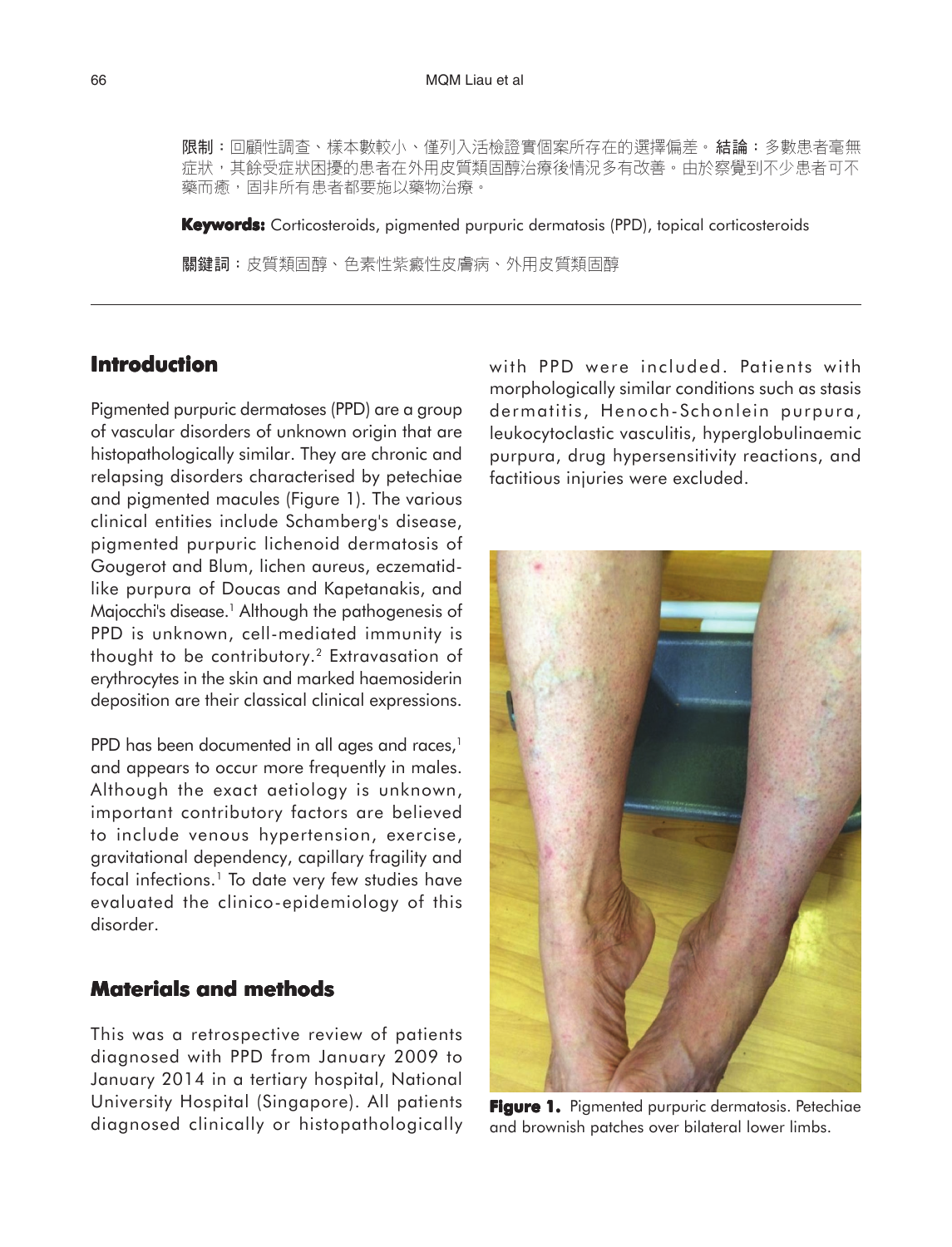**限制:**回顧性調查、樣本數較小、僅列入活檢證實個案所存在的選擇偏差。**結論:**多數患者毫無 症狀,其餘受症狀困擾的患者在外用皮質類固醇治療後情況多有改善。由於察覺到不少患者可不 藥而癒,固非所有患者都要施以藥物治療。

**Keywords:** Corticosteroids, pigmented purpuric dermatosis (PPD), topical corticosteroids

關鍵詞:皮質類固醇、色素性紫癜性皮膚病、外用皮質類固醇

## **Introduction**

Pigmented purpuric dermatoses (PPD) are a group of vascular disorders of unknown origin that are histopathologically similar. They are chronic and relapsing disorders characterised by petechiae and pigmented macules (Figure 1). The various clinical entities include Schamberg's disease, pigmented purpuric lichenoid dermatosis of Gougerot and Blum, lichen aureus, eczematidlike purpura of Doucas and Kapetanakis, and Majocchi's disease.<sup>1</sup> Although the pathogenesis of PPD is unknown, cell-mediated immunity is thought to be contributory.2 Extravasation of erythrocytes in the skin and marked haemosiderin deposition are their classical clinical expressions.

PPD has been documented in all ages and races,<sup>1</sup> and appears to occur more frequently in males. Although the exact aetiology is unknown, important contributory factors are believed to include venous hypertension, exercise, gravitational dependency, capillary fragility and focal infections.<sup>1</sup> To date very few studies have evaluated the clinico-epidemiology of this disorder.

### **Materials and methods**

This was a retrospective review of patients diagnosed with PPD from January 2009 to January 2014 in a tertiary hospital, National University Hospital (Singapore). All patients diagnosed clinically or histopathologically with PPD were included. Patients with morphologically similar conditions such as stasis dermatitis, Henoch-Schonlein purpura, leukocytoclastic vasculitis, hyperglobulinaemic purpura, drug hypersensitivity reactions, and factitious injuries were excluded.



**Figure 1.** Pigmented purpuric dermatosis. Petechiae and brownish patches over bilateral lower limbs.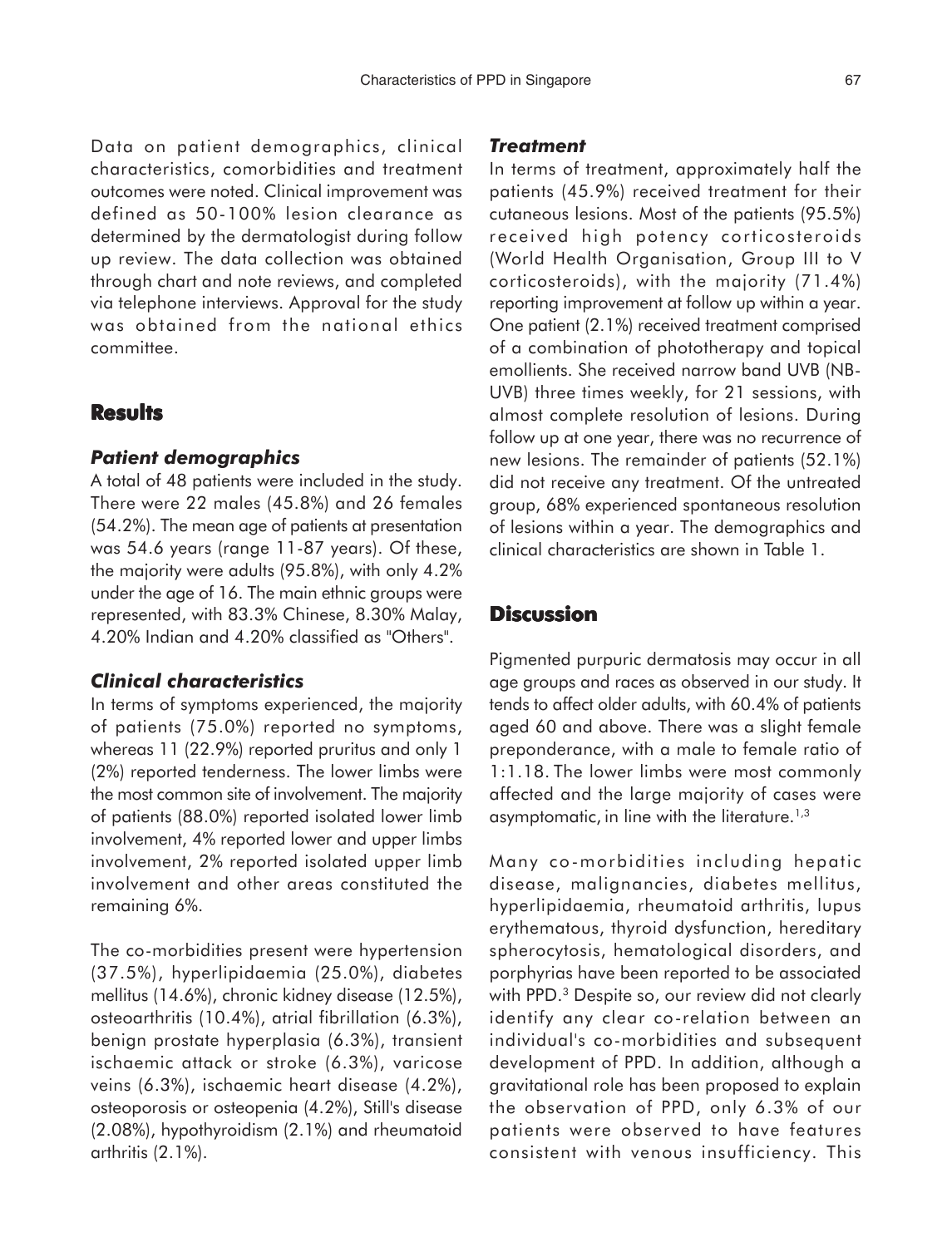Data on patient demographics, clinical characteristics, comorbidities and treatment outcomes were noted. Clinical improvement was defined as 50-100% lesion clearance as determined by the dermatologist during follow up review. The data collection was obtained through chart and note reviews, and completed via telephone interviews. Approval for the study was obtained from the national ethics committee.

### **Results**

#### *Patient demographics*

A total of 48 patients were included in the study. There were 22 males (45.8%) and 26 females (54.2%). The mean age of patients at presentation was 54.6 years (range 11-87 years). Of these, the majority were adults (95.8%), with only 4.2% under the age of 16. The main ethnic groups were represented, with 83.3% Chinese, 8.30% Malay, 4.20% Indian and 4.20% classified as "Others".

#### *Clinical characteristics*

In terms of symptoms experienced, the majority of patients (75.0%) reported no symptoms, whereas 11 (22.9%) reported pruritus and only 1 (2%) reported tenderness. The lower limbs were the most common site of involvement. The majority of patients (88.0%) reported isolated lower limb involvement, 4% reported lower and upper limbs involvement, 2% reported isolated upper limb involvement and other areas constituted the remaining 6%.

The co-morbidities present were hypertension (37.5%), hyperlipidaemia (25.0%), diabetes mellitus (14.6%), chronic kidney disease (12.5%), osteoarthritis (10.4%), atrial fibrillation (6.3%), benign prostate hyperplasia (6.3%), transient ischaemic attack or stroke (6.3%), varicose veins (6.3%), ischaemic heart disease (4.2%), osteoporosis or osteopenia (4.2%), Still's disease (2.08%), hypothyroidism (2.1%) and rheumatoid arthritis (2.1%).

#### *Treatment*

In terms of treatment, approximately half the patients (45.9%) received treatment for their cutaneous lesions. Most of the patients (95.5%) received high potency corticosteroids (World Health Organisation, Group III to V corticosteroids), with the majority (71.4%) reporting improvement at follow up within a year. One patient (2.1%) received treatment comprised of a combination of phototherapy and topical emollients. She received narrow band UVB (NB-UVB) three times weekly, for 21 sessions, with almost complete resolution of lesions. During follow up at one year, there was no recurrence of new lesions. The remainder of patients (52.1%) did not receive any treatment. Of the untreated group, 68% experienced spontaneous resolution of lesions within a year. The demographics and clinical characteristics are shown in Table 1.

## **Discussion**

Pigmented purpuric dermatosis may occur in all age groups and races as observed in our study. It tends to affect older adults, with 60.4% of patients aged 60 and above. There was a slight female preponderance, with a male to female ratio of 1:1.18. The lower limbs were most commonly affected and the large majority of cases were asymptomatic, in line with the literature.<sup>1,3</sup>

Many co-morbidities including hepatic disease, malignancies, diabetes mellitus, hyperlipidaemia, rheumatoid arthritis, lupus erythematous, thyroid dysfunction, hereditary spherocytosis, hematological disorders, and porphyrias have been reported to be associated with PPD.<sup>3</sup> Despite so, our review did not clearly identify any clear co-relation between an individual's co-morbidities and subsequent development of PPD. In addition, although a gravitational role has been proposed to explain the observation of PPD, only 6.3% of our patients were observed to have features consistent with venous insufficiency. This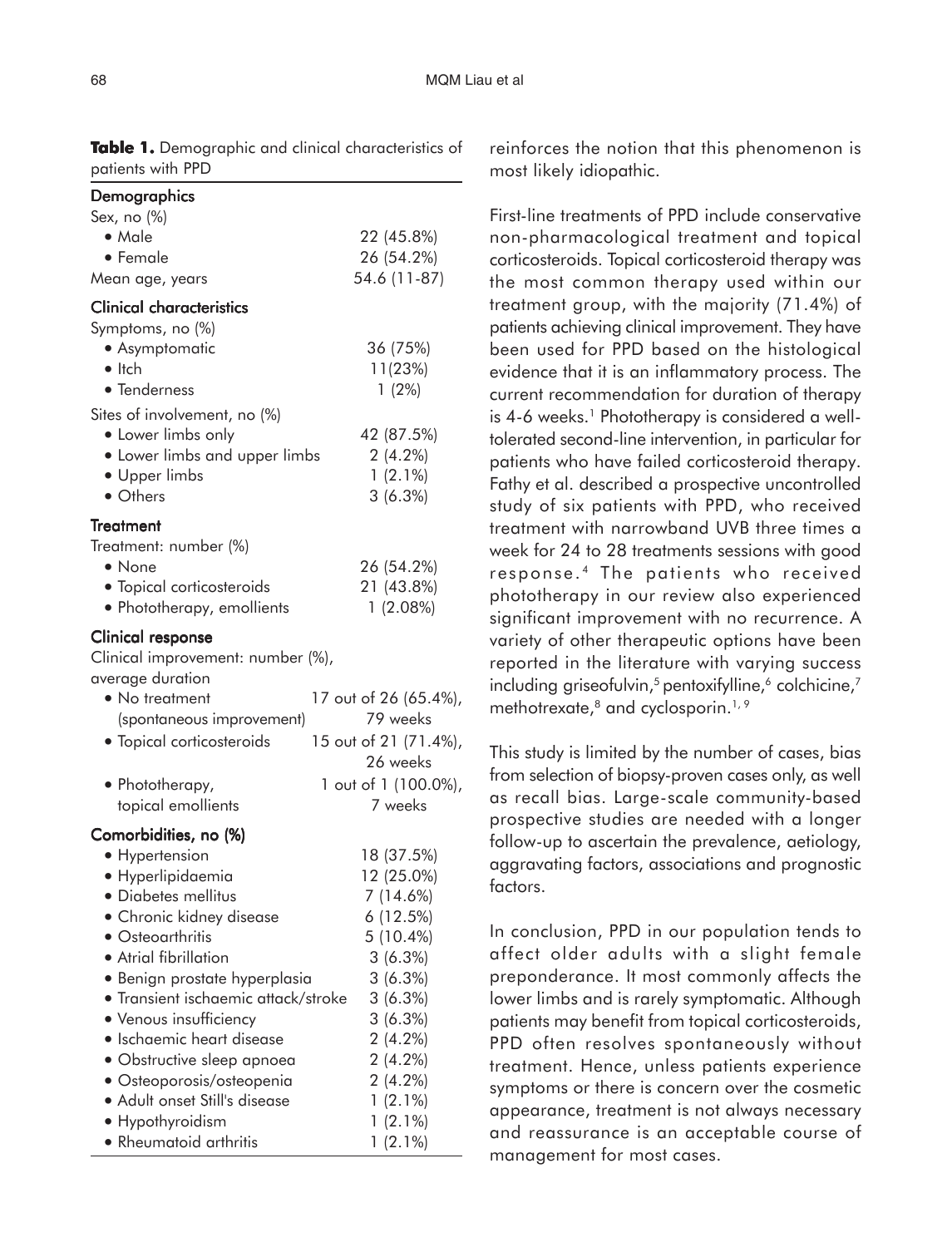| <b>Demographics</b>                                                                                                                                           |                                                            |
|---------------------------------------------------------------------------------------------------------------------------------------------------------------|------------------------------------------------------------|
| Sex, no (%)                                                                                                                                                   |                                                            |
| • Male                                                                                                                                                        | 22 (45.8%)                                                 |
| • Female                                                                                                                                                      | 26 (54.2%)                                                 |
| Mean age, years                                                                                                                                               | 54.6 (11-87)                                               |
| <b>Clinical characteristics</b>                                                                                                                               |                                                            |
| Symptoms, no (%)                                                                                                                                              |                                                            |
| • Asymptomatic                                                                                                                                                | 36 (75%)                                                   |
| $\bullet$ Itch                                                                                                                                                | 11(23%)                                                    |
| • Tenderness                                                                                                                                                  | $1(2\%)$                                                   |
| Sites of involvement, no (%)                                                                                                                                  |                                                            |
| • Lower limbs only                                                                                                                                            | 42 (87.5%)                                                 |
| • Lower limbs and upper limbs                                                                                                                                 | $2(4.2\%)$                                                 |
| • Upper limbs                                                                                                                                                 | $1(2.1\%)$                                                 |
| • Others                                                                                                                                                      |                                                            |
|                                                                                                                                                               | 3(6.3%)                                                    |
| <b>Treatment</b>                                                                                                                                              |                                                            |
| Treatment: number (%)                                                                                                                                         |                                                            |
| $\bullet$ None                                                                                                                                                | 26 (54.2%)                                                 |
| • Topical corticosteroids                                                                                                                                     | 21 (43.8%)                                                 |
| • Phototherapy, emollients                                                                                                                                    | 1(2.08%)                                                   |
| <b>Clinical response</b><br>Clinical improvement: number (%),<br>average duration<br>• No treatment<br>(spontaneous improvement)<br>· Topical corticosteroids | 17 out of 26 (65.4%),<br>79 weeks<br>15 out of 21 (71.4%), |
|                                                                                                                                                               | 26 weeks                                                   |
| • Phototherapy,                                                                                                                                               | 1 out of 1 (100.0%),                                       |
| topical emollients                                                                                                                                            | 7 weeks                                                    |
|                                                                                                                                                               |                                                            |
| Comorbidities, no (%)                                                                                                                                         |                                                            |
| • Hypertension                                                                                                                                                | 18 (37.5%)                                                 |
| · Hyperlipidaemia                                                                                                                                             | 12 (25.0%)                                                 |
| Diabetes mellitus                                                                                                                                             | $7(14.6\%)$                                                |
| • Chronic kidney disease                                                                                                                                      | 6 (12.5%)                                                  |
| • Osteoarthritis                                                                                                                                              | 5 (10.4%)                                                  |
| • Atrial fibrillation                                                                                                                                         | 3(6.3%)                                                    |
| • Benign prostate hyperplasia                                                                                                                                 | 3(6.3%)                                                    |
| • Transient ischaemic attack/stroke                                                                                                                           | 3(6.3%)                                                    |
| • Venous insufficiency                                                                                                                                        | 3(6.3%)                                                    |
| • Ischaemic heart disease                                                                                                                                     | $2(4.2\%)$                                                 |
| · Obstructive sleep apnoea                                                                                                                                    | $2(4.2\%)$                                                 |
| • Osteoporosis/osteopenia                                                                                                                                     | $2(4.2\%)$                                                 |
| • Adult onset Still's disease                                                                                                                                 | $1(2.1\%)$                                                 |
| Hypothyroidism                                                                                                                                                | $1(2.1\%)$                                                 |
| • Rheumatoid arthritis                                                                                                                                        | $1(2.1\%)$                                                 |

**Table 1.** Demographic and clinical characteristics of patients with PPD

reinforces the notion that this phenomenon is most likely idiopathic.

First-line treatments of PPD include conservative non-pharmacological treatment and topical corticosteroids. Topical corticosteroid therapy was the most common therapy used within our treatment group, with the majority (71.4%) of patients achieving clinical improvement. They have been used for PPD based on the histological evidence that it is an inflammatory process. The current recommendation for duration of therapy is  $4-6$  weeks.<sup>1</sup> Phototherapy is considered a welltolerated second-line intervention, in particular for patients who have failed corticosteroid therapy. Fathy et al. described a prospective uncontrolled study of six patients with PPD, who received treatment with narrowband UVB three times a week for 24 to 28 treatments sessions with good response.<sup>4</sup> The patients who received phototherapy in our review also experienced significant improvement with no recurrence. A variety of other therapeutic options have been reported in the literature with varying success including griseofulvin,<sup>5</sup> pentoxifylline,<sup>6</sup> colchicine,<sup>7</sup> methotrexate,<sup>8</sup> and cyclosporin.<sup>1,9</sup>

This study is limited by the number of cases, bias from selection of biopsy-proven cases only, as well as recall bias. Large-scale community-based prospective studies are needed with a longer follow-up to ascertain the prevalence, aetiology, aggravating factors, associations and prognostic factors.

In conclusion, PPD in our population tends to affect older adults with a slight female preponderance. It most commonly affects the lower limbs and is rarely symptomatic. Although patients may benefit from topical corticosteroids, PPD often resolves spontaneously without treatment. Hence, unless patients experience symptoms or there is concern over the cosmetic appearance, treatment is not always necessary and reassurance is an acceptable course of management for most cases.